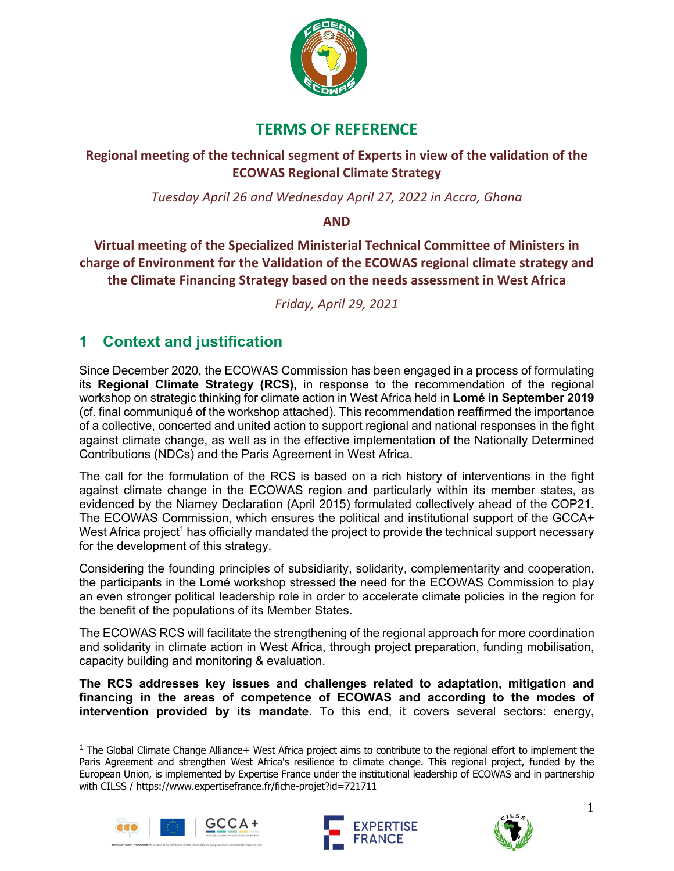

## **TERMS OF REFERENCE**

### **Regional meeting of the technical segment of Experts in view of the validation of the ECOWAS Regional Climate Strategy**

*Tuesday April 26 and Wednesday April 27, 2022 in Accra, Ghana*

#### **AND**

**Virtual meeting of the Specialized Ministerial Technical Committee of Ministers in charge of Environment for the Validation of the ECOWAS regional climate strategy and the Climate Financing Strategy based on the needs assessment in West Africa**

*Friday, April 29, 2021*

# **1 Context and justification**

Since December 2020, the ECOWAS Commission has been engaged in a process of formulating its **Regional Climate Strategy (RCS),** in response to the recommendation of the regional workshop on strategic thinking for climate action in West Africa held in **Lomé in September 2019**  (cf. final communiqué of the workshop attached). This recommendation reaffirmed the importance of a collective, concerted and united action to support regional and national responses in the fight against climate change, as well as in the effective implementation of the Nationally Determined Contributions (NDCs) and the Paris Agreement in West Africa.

The call for the formulation of the RCS is based on a rich history of interventions in the fight against climate change in the ECOWAS region and particularly within its member states, as evidenced by the Niamey Declaration (April 2015) formulated collectively ahead of the COP21. The ECOWAS Commission, which ensures the political and institutional support of the GCCA+ West Africa project<sup>1</sup> has officially mandated the project to provide the technical support necessary for the development of this strategy.

Considering the founding principles of subsidiarity, solidarity, complementarity and cooperation, the participants in the Lomé workshop stressed the need for the ECOWAS Commission to play an even stronger political leadership role in order to accelerate climate policies in the region for the benefit of the populations of its Member States.

The ECOWAS RCS will facilitate the strengthening of the regional approach for more coordination and solidarity in climate action in West Africa, through project preparation, funding mobilisation, capacity building and monitoring & evaluation.

**The RCS addresses key issues and challenges related to adaptation, mitigation and financing in the areas of competence of ECOWAS and according to the modes of intervention provided by its mandate**. To this end, it covers several sectors: energy,

 $1$  The Global Climate Change Alliance+ West Africa project aims to contribute to the regional effort to implement the Paris Agreement and strengthen West Africa's resilience to climate change. This regional project, funded by the European Union, is implemented by Expertise France under the institutional leadership of ECOWAS and in partnership with CILSS / https://www.expertisefrance.fr/fiche-projet?id=721711







1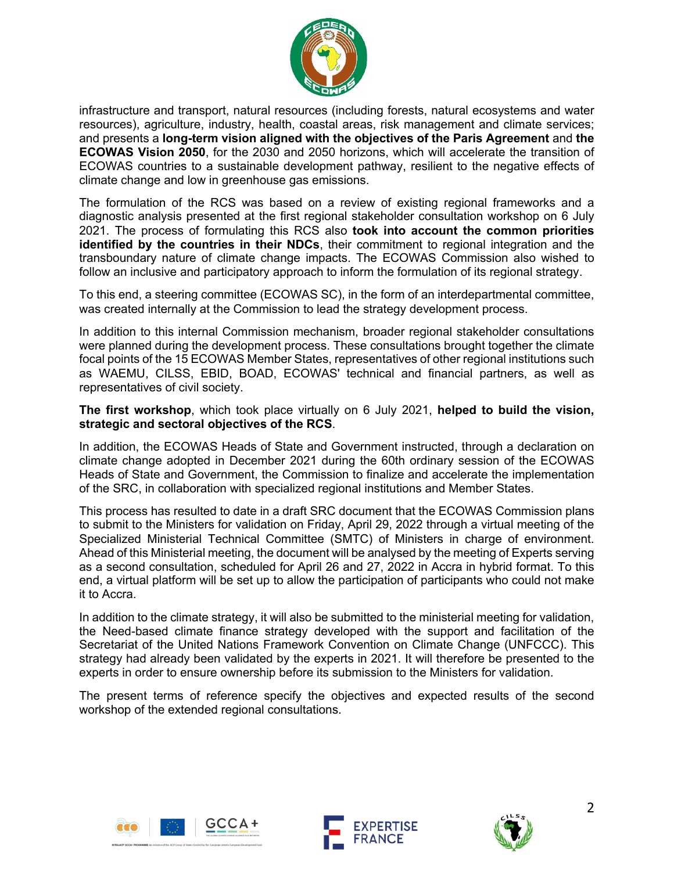

infrastructure and transport, natural resources (including forests, natural ecosystems and water resources), agriculture, industry, health, coastal areas, risk management and climate services; and presents a **long-term vision aligned with the objectives of the Paris Agreement** and **the ECOWAS Vision 2050**, for the 2030 and 2050 horizons, which will accelerate the transition of ECOWAS countries to a sustainable development pathway, resilient to the negative effects of climate change and low in greenhouse gas emissions.

The formulation of the RCS was based on a review of existing regional frameworks and a diagnostic analysis presented at the first regional stakeholder consultation workshop on 6 July 2021. The process of formulating this RCS also **took into account the common priorities identified by the countries in their NDCs**, their commitment to regional integration and the transboundary nature of climate change impacts. The ECOWAS Commission also wished to follow an inclusive and participatory approach to inform the formulation of its regional strategy.

To this end, a steering committee (ECOWAS SC), in the form of an interdepartmental committee, was created internally at the Commission to lead the strategy development process.

In addition to this internal Commission mechanism, broader regional stakeholder consultations were planned during the development process. These consultations brought together the climate focal points of the 15 ECOWAS Member States, representatives of other regional institutions such as WAEMU, CILSS, EBID, BOAD, ECOWAS' technical and financial partners, as well as representatives of civil society.

**The first workshop**, which took place virtually on 6 July 2021, **helped to build the vision, strategic and sectoral objectives of the RCS**.

In addition, the ECOWAS Heads of State and Government instructed, through a declaration on climate change adopted in December 2021 during the 60th ordinary session of the ECOWAS Heads of State and Government, the Commission to finalize and accelerate the implementation of the SRC, in collaboration with specialized regional institutions and Member States.

This process has resulted to date in a draft SRC document that the ECOWAS Commission plans to submit to the Ministers for validation on Friday, April 29, 2022 through a virtual meeting of the Specialized Ministerial Technical Committee (SMTC) of Ministers in charge of environment. Ahead of this Ministerial meeting, the document will be analysed by the meeting of Experts serving as a second consultation, scheduled for April 26 and 27, 2022 in Accra in hybrid format. To this end, a virtual platform will be set up to allow the participation of participants who could not make it to Accra.

In addition to the climate strategy, it will also be submitted to the ministerial meeting for validation, the Need-based climate finance strategy developed with the support and facilitation of the Secretariat of the United Nations Framework Convention on Climate Change (UNFCCC). This strategy had already been validated by the experts in 2021. It will therefore be presented to the experts in order to ensure ownership before its submission to the Ministers for validation.

The present terms of reference specify the objectives and expected results of the second workshop of the extended regional consultations.